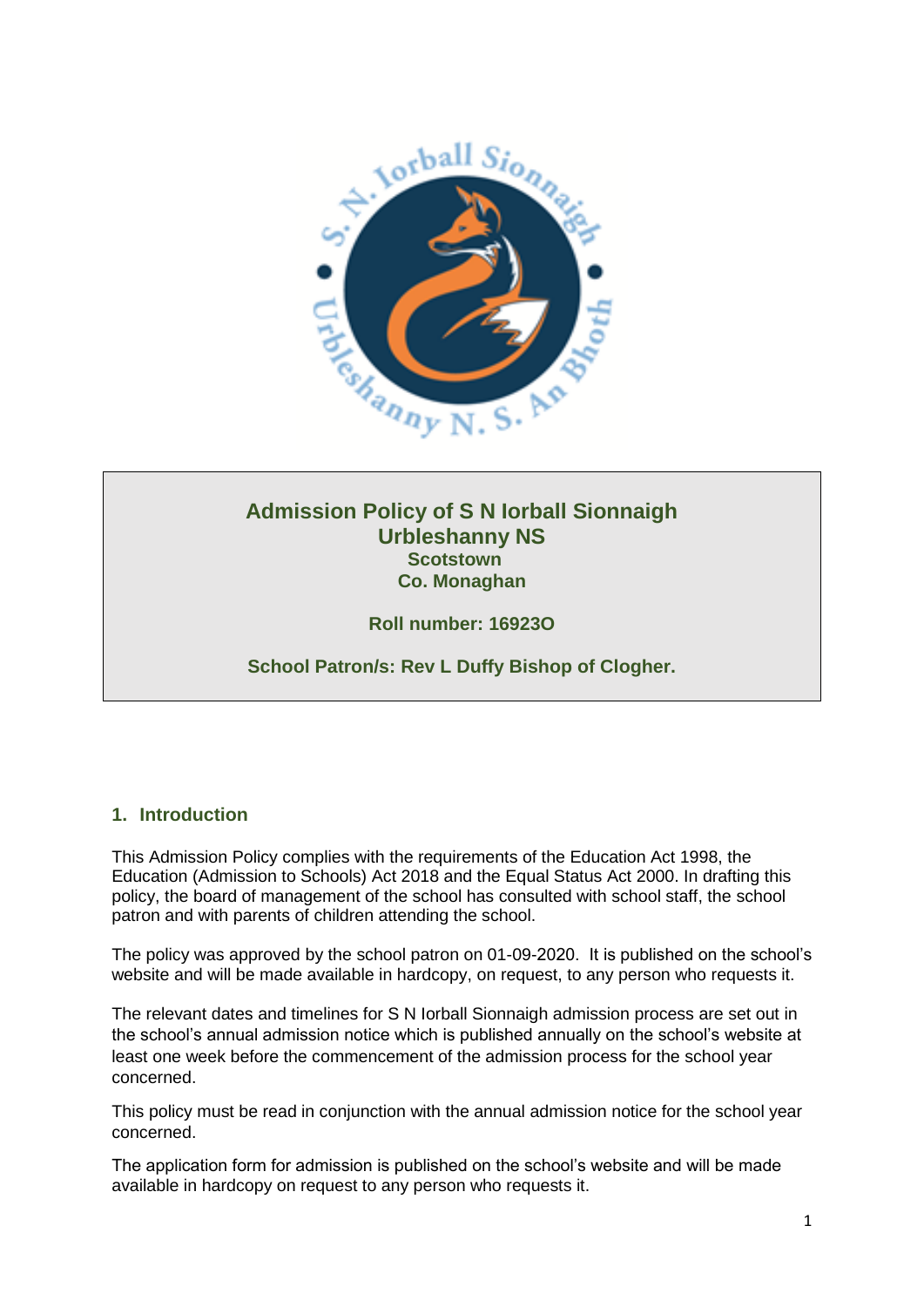

# **Admission Policy of S N Iorball Sionnaigh Urbleshanny NS Scotstown Co. Monaghan**

**Roll number: 16923O**

**School Patron/s: Rev L Duffy Bishop of Clogher.**

### **1. Introduction**

This Admission Policy complies with the requirements of the Education Act 1998, the Education (Admission to Schools) Act 2018 and the Equal Status Act 2000. In drafting this policy, the board of management of the school has consulted with school staff, the school patron and with parents of children attending the school.

The policy was approved by the school patron on 01-09-2020. It is published on the school's website and will be made available in hardcopy, on request, to any person who requests it.

The relevant dates and timelines for S N Iorball Sionnaigh admission process are set out in the school's annual admission notice which is published annually on the school's website at least one week before the commencement of the admission process for the school year concerned.

This policy must be read in conjunction with the annual admission notice for the school year concerned.

The application form for admission is published on the school's website and will be made available in hardcopy on request to any person who requests it.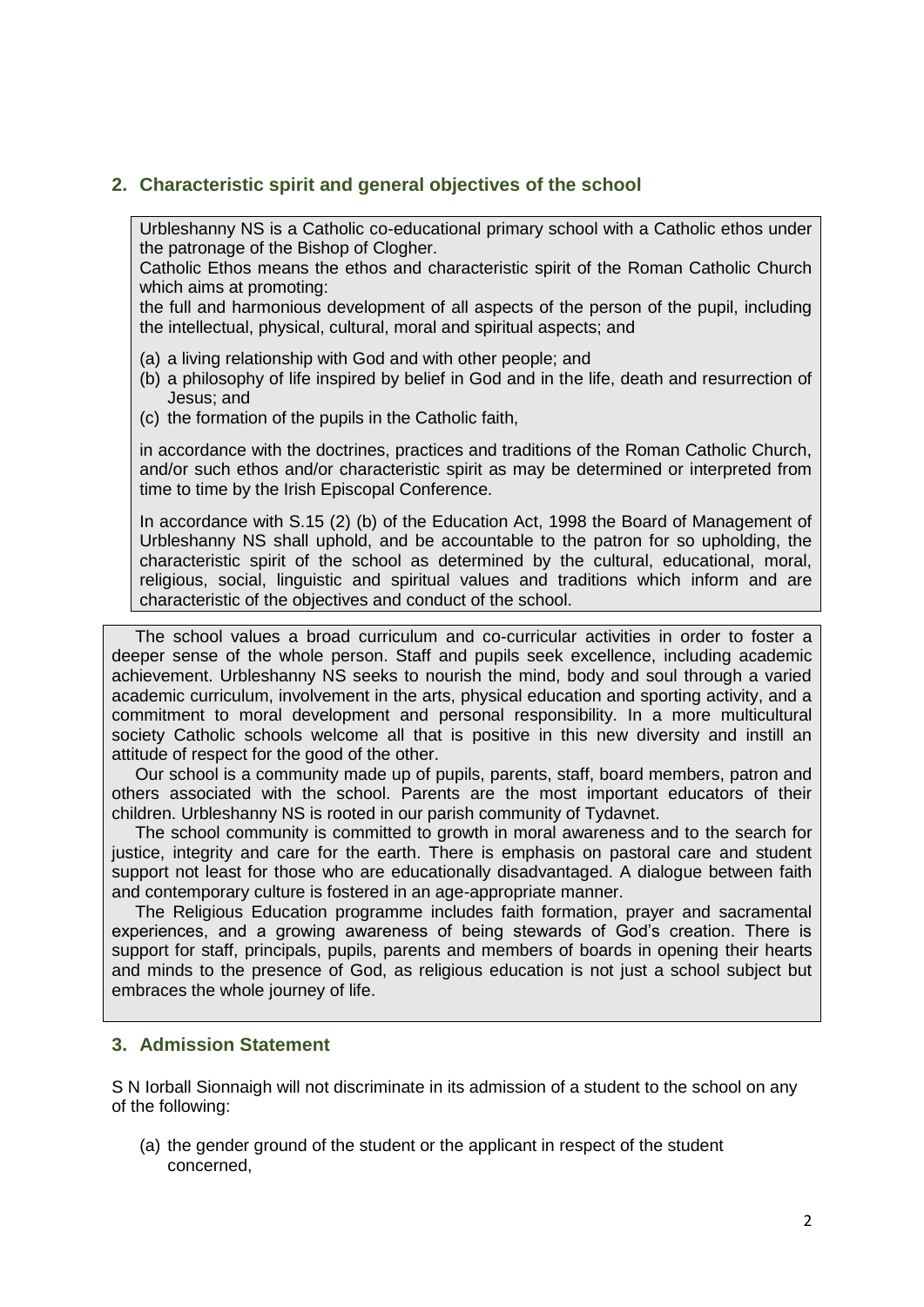#### **2. Characteristic spirit and general objectives of the school**

Urbleshanny NS is a Catholic co-educational primary school with a Catholic ethos under the patronage of the Bishop of Clogher.

Catholic Ethos means the ethos and characteristic spirit of the Roman Catholic Church which aims at promoting:

the full and harmonious development of all aspects of the person of the pupil, including the intellectual, physical, cultural, moral and spiritual aspects; and

- (a) a living relationship with God and with other people; and
- (b) a philosophy of life inspired by belief in God and in the life, death and resurrection of Jesus; and
- (c) the formation of the pupils in the Catholic faith,

in accordance with the doctrines, practices and traditions of the Roman Catholic Church, and/or such ethos and/or characteristic spirit as may be determined or interpreted from time to time by the Irish Episcopal Conference.

In accordance with S.15 (2) (b) of the Education Act, 1998 the Board of Management of Urbleshanny NS shall uphold, and be accountable to the patron for so upholding, the characteristic spirit of the school as determined by the cultural, educational, moral, religious, social, linguistic and spiritual values and traditions which inform and are characteristic of the objectives and conduct of the school.

 The school values a broad curriculum and co-curricular activities in order to foster a deeper sense of the whole person. Staff and pupils seek excellence, including academic achievement. Urbleshanny NS seeks to nourish the mind, body and soul through a varied academic curriculum, involvement in the arts, physical education and sporting activity, and a commitment to moral development and personal responsibility. In a more multicultural society Catholic schools welcome all that is positive in this new diversity and instill an attitude of respect for the good of the other.

 Our school is a community made up of pupils, parents, staff, board members, patron and others associated with the school. Parents are the most important educators of their children. Urbleshanny NS is rooted in our parish community of Tydavnet.

 The school community is committed to growth in moral awareness and to the search for justice, integrity and care for the earth. There is emphasis on pastoral care and student support not least for those who are educationally disadvantaged. A dialogue between faith and contemporary culture is fostered in an age-appropriate manner.

 The Religious Education programme includes faith formation, prayer and sacramental experiences, and a growing awareness of being stewards of God's creation. There is support for staff, principals, pupils, parents and members of boards in opening their hearts and minds to the presence of God, as religious education is not just a school subject but embraces the whole journey of life.

#### **3. Admission Statement**

S N Iorball Sionnaigh will not discriminate in its admission of a student to the school on any of the following:

(a) the gender ground of the student or the applicant in respect of the student concerned,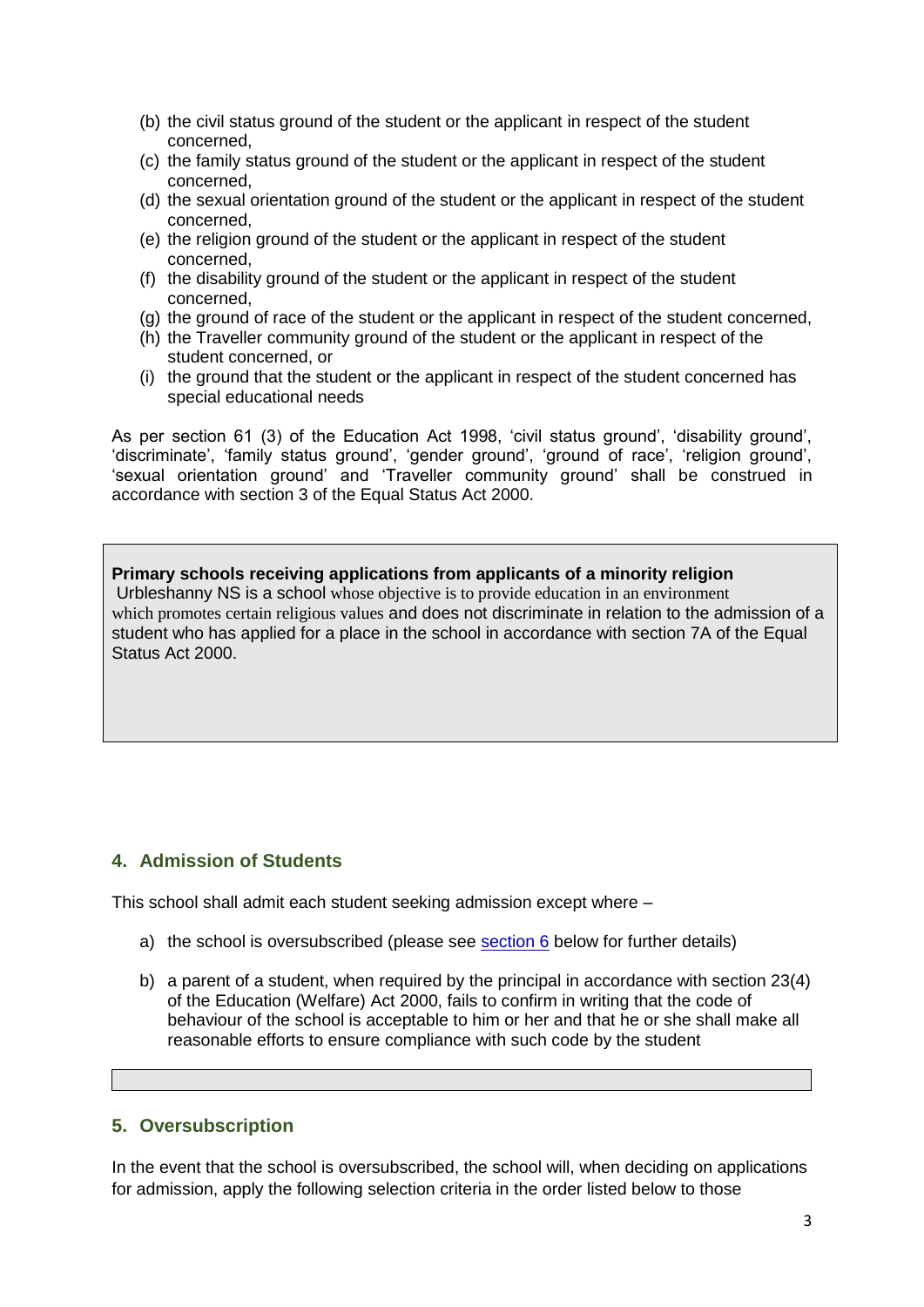- (b) the civil status ground of the student or the applicant in respect of the student concerned,
- (c) the family status ground of the student or the applicant in respect of the student concerned,
- (d) the sexual orientation ground of the student or the applicant in respect of the student concerned,
- (e) the religion ground of the student or the applicant in respect of the student concerned,
- (f) the disability ground of the student or the applicant in respect of the student concerned,
- (g) the ground of race of the student or the applicant in respect of the student concerned,
- (h) the Traveller community ground of the student or the applicant in respect of the student concerned, or
- (i) the ground that the student or the applicant in respect of the student concerned has special educational needs

As per section 61 (3) of the Education Act 1998, 'civil status ground', 'disability ground', 'discriminate', 'family status ground', 'gender ground', 'ground of race', 'religion ground', 'sexual orientation ground' and 'Traveller community ground' shall be construed in accordance with section 3 of the Equal Status Act 2000.

**Primary schools receiving applications from applicants of a minority religion**  Urbleshanny NS is a school whose objective is to provide education in an environment which promotes certain religious values and does not discriminate in relation to the admission of a student who has applied for a place in the school in accordance with section 7A of the Equal Status Act 2000.

#### **4. Admission of Students**

This school shall admit each student seeking admission except where –

- a) the school is oversubscribed (please see [section 6](#page-2-0) below for further details)
- b) a parent of a student, when required by the principal in accordance with section 23(4) of the Education (Welfare) Act 2000, fails to confirm in writing that the code of behaviour of the school is acceptable to him or her and that he or she shall make all reasonable efforts to ensure compliance with such code by the student

#### <span id="page-2-0"></span>**5. Oversubscription**

In the event that the school is oversubscribed, the school will, when deciding on applications for admission, apply the following selection criteria in the order listed below to those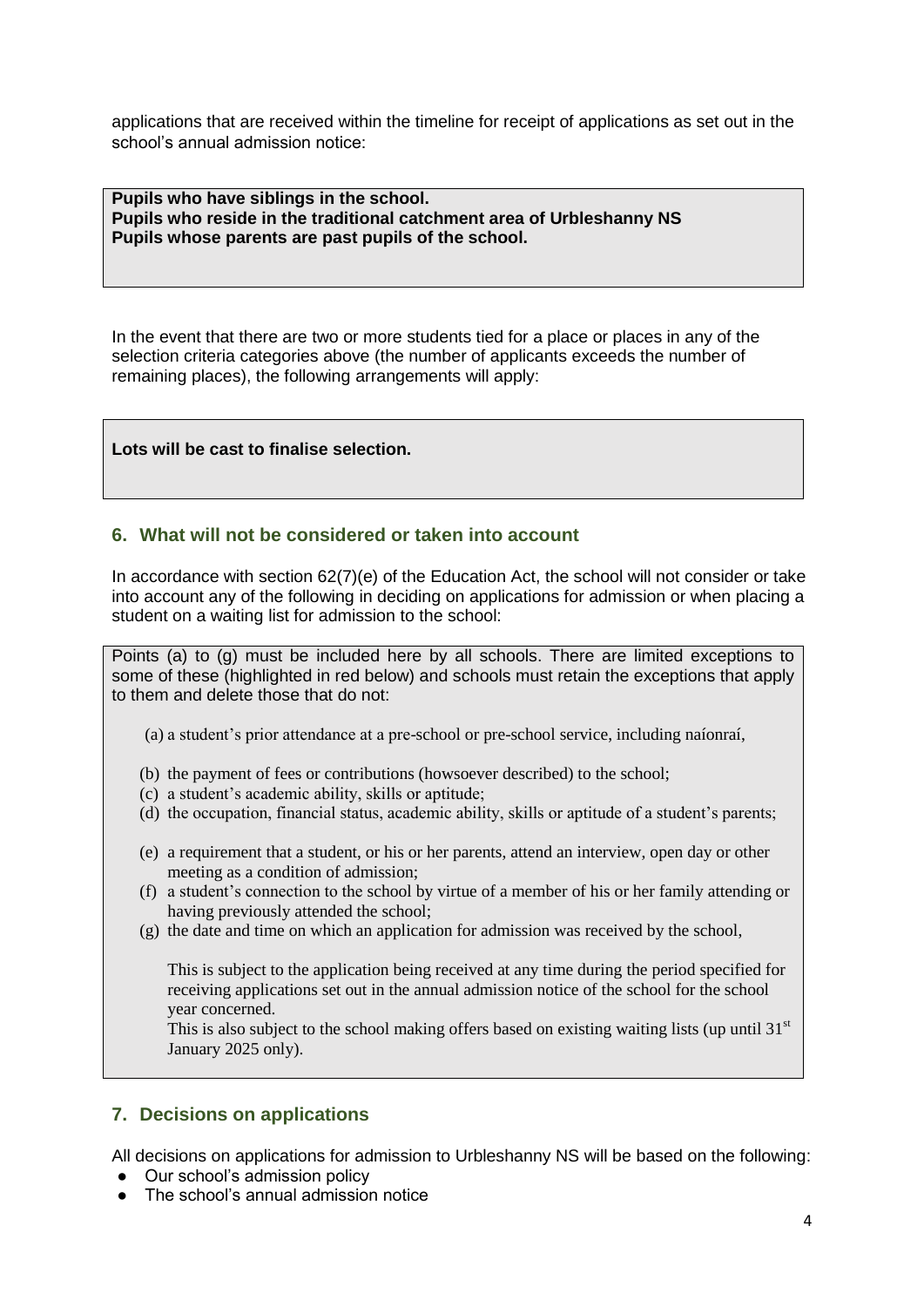applications that are received within the timeline for receipt of applications as set out in the school's annual admission notice:

**Pupils who have siblings in the school. Pupils who reside in the traditional catchment area of Urbleshanny NS Pupils whose parents are past pupils of the school.**

In the event that there are two or more students tied for a place or places in any of the selection criteria categories above (the number of applicants exceeds the number of remaining places), the following arrangements will apply:

**Lots will be cast to finalise selection.**

#### **6. What will not be considered or taken into account**

In accordance with section 62(7)(e) of the Education Act, the school will not consider or take into account any of the following in deciding on applications for admission or when placing a student on a waiting list for admission to the school:

Points (a) to (g) must be included here by all schools. There are limited exceptions to some of these (highlighted in red below) and schools must retain the exceptions that apply to them and delete those that do not:

- (a) a student's prior attendance at a pre-school or pre-school service, including naíonraí,
- (b) the payment of fees or contributions (howsoever described) to the school;
- (c) a student's academic ability, skills or aptitude;
- (d) the occupation, financial status, academic ability, skills or aptitude of a student's parents;
- (e) a requirement that a student, or his or her parents, attend an interview, open day or other meeting as a condition of admission;
- (f) a student's connection to the school by virtue of a member of his or her family attending or having previously attended the school;
- (g) the date and time on which an application for admission was received by the school,

This is subject to the application being received at any time during the period specified for receiving applications set out in the annual admission notice of the school for the school year concerned.

This is also subject to the school making offers based on existing waiting lists (up until 31 $\rm$ <sup>st</sup> January 2025 only).

### **7. Decisions on applications**

All decisions on applications for admission to Urbleshanny NS will be based on the following:

- Our school's admission policy
- The school's annual admission notice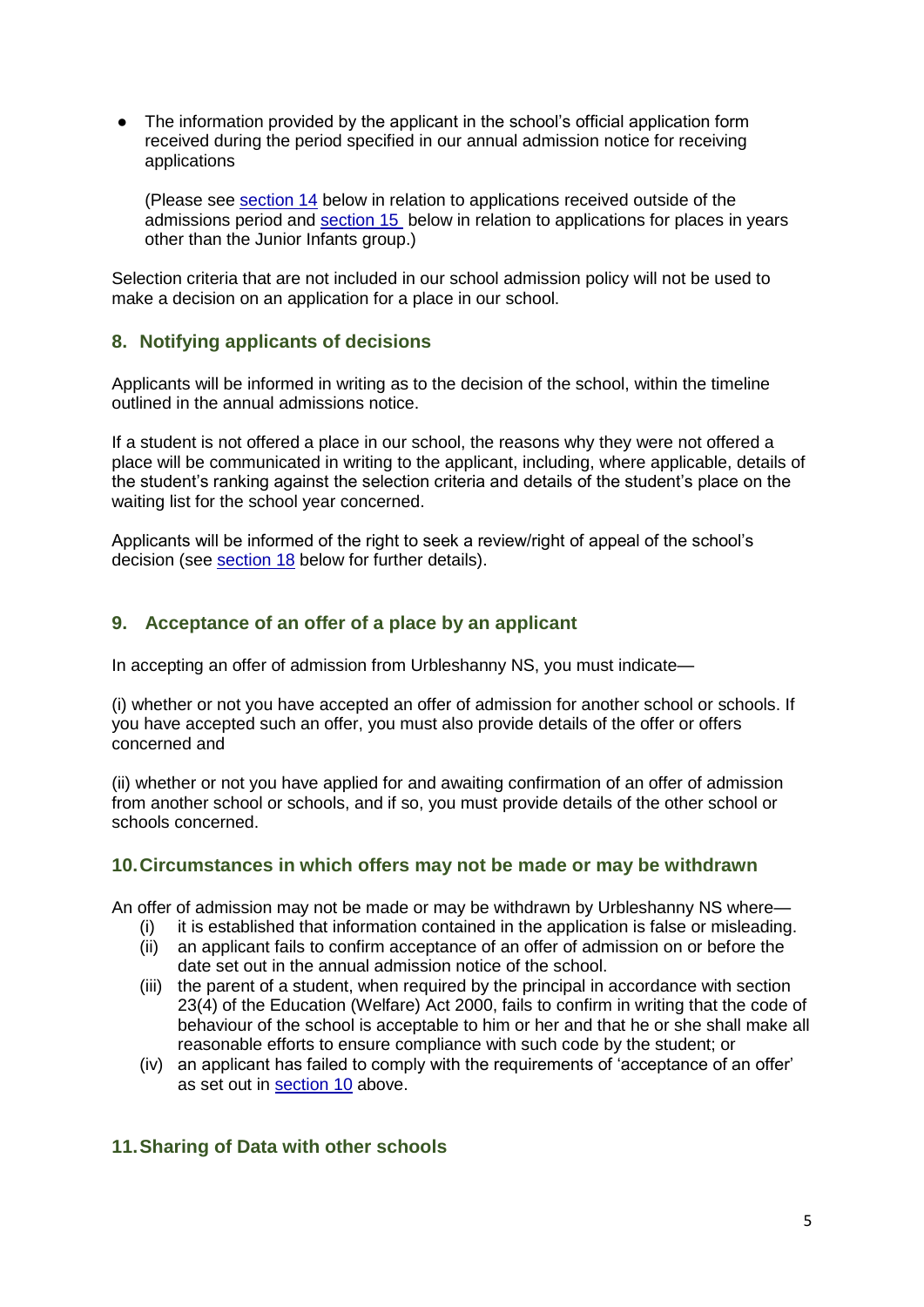The information provided by the applicant in the school's official application form received during the period specified in our annual admission notice for receiving applications

(Please see [section 14](#page-5-0) below in relation to applications received outside of the admissions period and [section 15](#page-5-1) below in relation to applications for places in years other than the Junior Infants group.)

Selection criteria that are not included in our school admission policy will not be used to make a decision on an application for a place in our school.

# **8. Notifying applicants of decisions**

Applicants will be informed in writing as to the decision of the school, within the timeline outlined in the annual admissions notice.

If a student is not offered a place in our school, the reasons why they were not offered a place will be communicated in writing to the applicant, including, where applicable, details of the student's ranking against the selection criteria and details of the student's place on the waiting list for the school year concerned.

Applicants will be informed of the right to seek a review/right of appeal of the school's decision (see [section 18](#page-6-0) below for further details).

# <span id="page-4-0"></span>**9. Acceptance of an offer of a place by an applicant**

In accepting an offer of admission from Urbleshanny NS, you must indicate—

(i) whether or not you have accepted an offer of admission for another school or schools. If you have accepted such an offer, you must also provide details of the offer or offers concerned and

(ii) whether or not you have applied for and awaiting confirmation of an offer of admission from another school or schools, and if so, you must provide details of the other school or schools concerned.

### **10.Circumstances in which offers may not be made or may be withdrawn**

An offer of admission may not be made or may be withdrawn by Urbleshanny NS where—

- it is established that information contained in the application is false or misleading.
- (ii) an applicant fails to confirm acceptance of an offer of admission on or before the date set out in the annual admission notice of the school.
- (iii) the parent of a student, when required by the principal in accordance with section 23(4) of the Education (Welfare) Act 2000, fails to confirm in writing that the code of behaviour of the school is acceptable to him or her and that he or she shall make all reasonable efforts to ensure compliance with such code by the student; or
- (iv) an applicant has failed to comply with the requirements of 'acceptance of an offer' as set out in [section 10](#page-4-0) above.

### **11.Sharing of Data with other schools**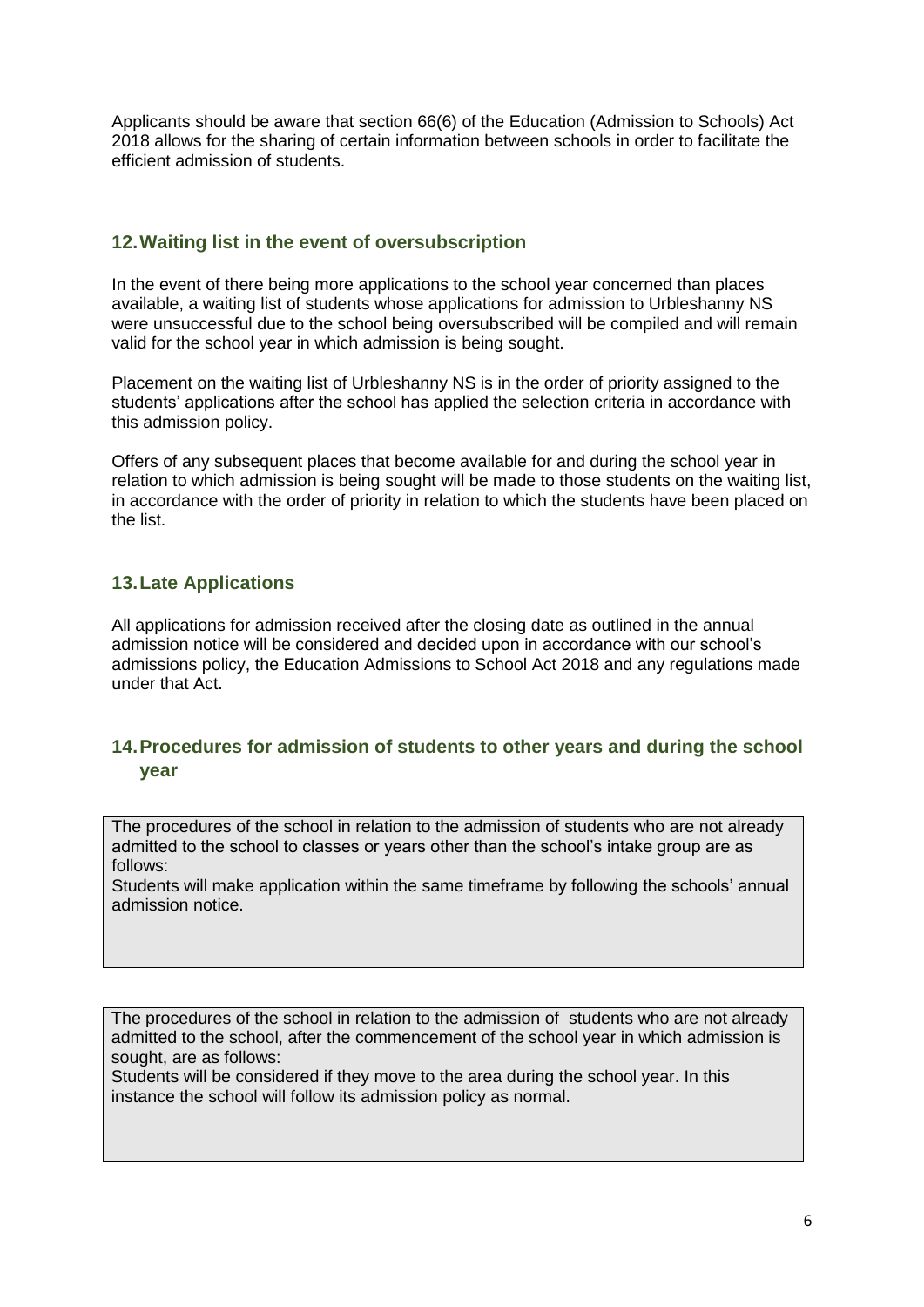Applicants should be aware that section 66(6) of the Education (Admission to Schools) Act 2018 allows for the sharing of certain information between schools in order to facilitate the efficient admission of students.

### **12.Waiting list in the event of oversubscription**

In the event of there being more applications to the school year concerned than places available, a waiting list of students whose applications for admission to Urbleshanny NS were unsuccessful due to the school being oversubscribed will be compiled and will remain valid for the school year in which admission is being sought.

Placement on the waiting list of Urbleshanny NS is in the order of priority assigned to the students' applications after the school has applied the selection criteria in accordance with this admission policy.

Offers of any subsequent places that become available for and during the school year in relation to which admission is being sought will be made to those students on the waiting list, in accordance with the order of priority in relation to which the students have been placed on the list.

# <span id="page-5-0"></span>**13.Late Applications**

All applications for admission received after the closing date as outlined in the annual admission notice will be considered and decided upon in accordance with our school's admissions policy, the Education Admissions to School Act 2018 and any regulations made under that Act.

# <span id="page-5-1"></span>**14.Procedures for admission of students to other years and during the school year**

The procedures of the school in relation to the admission of students who are not already admitted to the school to classes or years other than the school's intake group are as follows:

Students will make application within the same timeframe by following the schools' annual admission notice.

The procedures of the school in relation to the admission of students who are not already admitted to the school, after the commencement of the school year in which admission is sought, are as follows:

Students will be considered if they move to the area during the school year. In this instance the school will follow its admission policy as normal.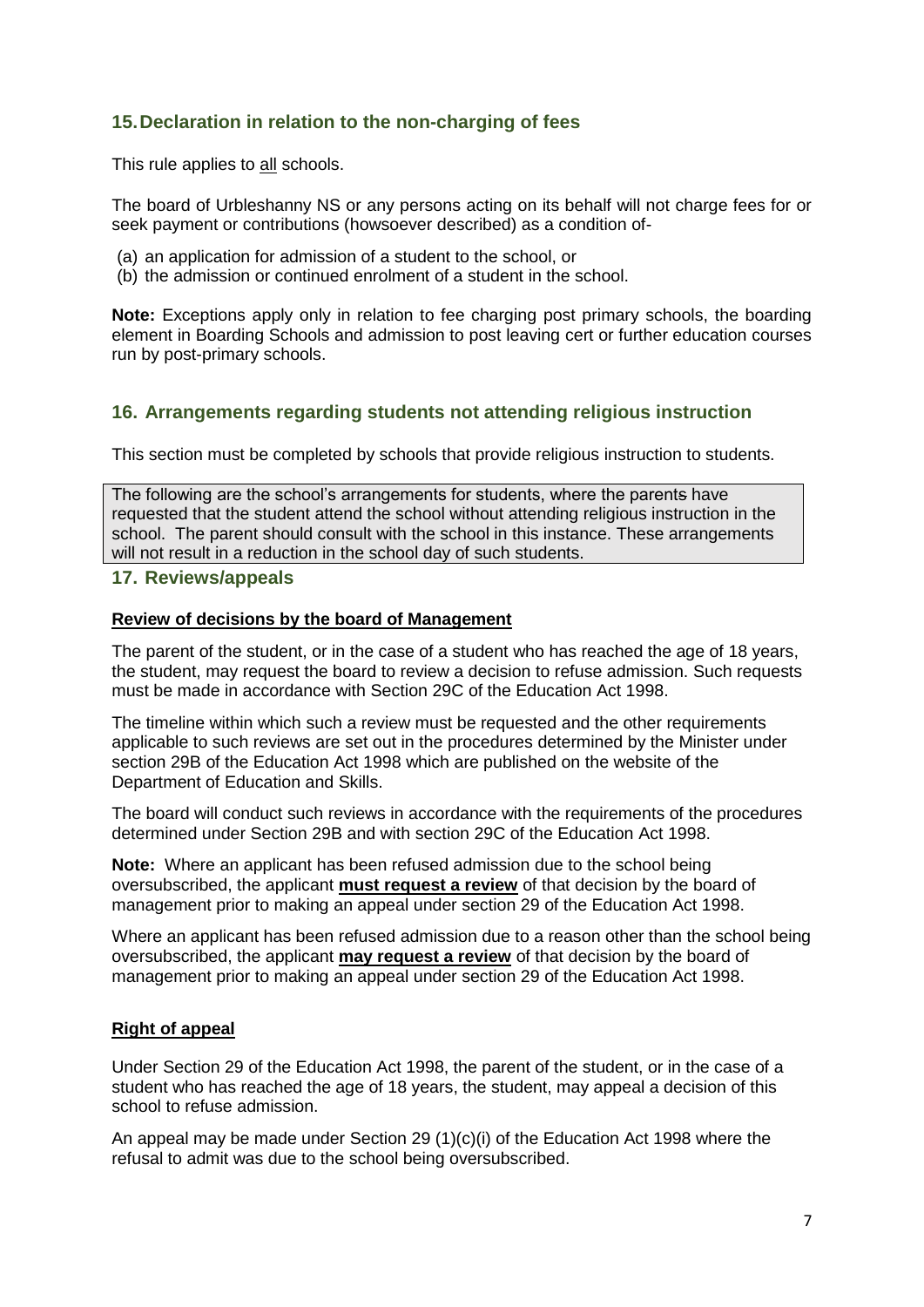# **15.Declaration in relation to the non-charging of fees**

This rule applies to all schools.

The board of Urbleshanny NS or any persons acting on its behalf will not charge fees for or seek payment or contributions (howsoever described) as a condition of-

- (a) an application for admission of a student to the school, or
- (b) the admission or continued enrolment of a student in the school.

**Note:** Exceptions apply only in relation to fee charging post primary schools, the boarding element in Boarding Schools and admission to post leaving cert or further education courses run by post-primary schools.

### **16. Arrangements regarding students not attending religious instruction**

This section must be completed by schools that provide religious instruction to students.

The following are the school's arrangements for students, where the parents have requested that the student attend the school without attending religious instruction in the school. The parent should consult with the school in this instance. These arrangements will not result in a reduction in the school day of such students.

#### <span id="page-6-0"></span>**17. Reviews/appeals**

#### **Review of decisions by the board of Management**

The parent of the student, or in the case of a student who has reached the age of 18 years, the student, may request the board to review a decision to refuse admission. Such requests must be made in accordance with Section 29C of the Education Act 1998.

The timeline within which such a review must be requested and the other requirements applicable to such reviews are set out in the procedures determined by the Minister under section 29B of the Education Act 1998 which are published on the website of the Department of Education and Skills.

The board will conduct such reviews in accordance with the requirements of the procedures determined under Section 29B and with section 29C of the Education Act 1998.

**Note:** Where an applicant has been refused admission due to the school being oversubscribed, the applicant **must request a review** of that decision by the board of management prior to making an appeal under section 29 of the Education Act 1998.

Where an applicant has been refused admission due to a reason other than the school being oversubscribed, the applicant **may request a review** of that decision by the board of management prior to making an appeal under section 29 of the Education Act 1998.

#### **Right of appeal**

Under Section 29 of the Education Act 1998, the parent of the student, or in the case of a student who has reached the age of 18 years, the student, may appeal a decision of this school to refuse admission.

An appeal may be made under Section 29 (1)(c)(i) of the Education Act 1998 where the refusal to admit was due to the school being oversubscribed.